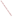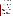The information presented here reflects EPA's modeling of the Clear Skies Act of 2002. The Agency is in the process of updating this information to reflect modifications included in the Clear Skies Act of 2003. The revised information will be posted on the Agency's Clear Skies Web site (www.epa.gov/clearskies) as soon as possible.

## **EXECUTIVE SUMMARY – THE CLEAR SKIES INITIATIVE**

*February 14, 2002*

Today, President Bush proposed the most significant step America has ever taken to cut power plant emissions, the Clear Skies Initiative. This new proposal will aggressively reduce air pollution from electricity generators and improve air quality throughout the country. The Clear Skies Initiative will cut air pollution 70 percent, using a proven, market-based approach that will save American consumers millions of dollars.

America needs a clean, secure, affordable, reliable energy supply in the years ahead. President Bush has often said that environmental protection and energy production are not competing priorities. This progressive plan shows how that objective can be reached. We can meet our environmental goals while providing affordable electricity for American consumers and American businesses.

America has made great progress in reducing air pollution. Over the last three decades, air pollution has declined by 29 percent, while our economy has grown nearly 160 percent. These gains have provided cleaner air for millions of people. Our understanding of science, technology, and markets has improved since the Clean Air Act was passed in 1970. We know more about the best way to reduce pollution, and how to do it cost effectively. The acid rain cap and trade program created by Congress in 1990 reduced more pollution in the last decade than all other Clean Air Act command-and-control programs combined, and achieved significant reductions at two-thirds of the cost to accomplish those reductions using a "command-and-control" system. It's time to take the best of what we have learned and modernize the Clean Air Act. That's why President Bush is proposing a new Clean Air Act for the  $21<sup>st</sup>$  century.

The Clear Skies Initiative will:

#### **Dramatically Cut Power Plants' Emissions of Three of the Worst Air Pollutants.**

- $\checkmark$  Cut sulfur dioxide (SO2) emissions by 73 percent, from current emissions of 11 million tons to a cap of 4.5 million tons in 2010, and 3 million tons in 2018.
- $\checkmark$  Cut emissions of nitrogen oxides (NOx) by 67 percent, from current emissions of 5 million tons to a cap of 2.1 million tons in 2008, and to 1.7 million tons in 2018.
- $\checkmark$  Cutting mercury emissions by 69 percent, the first-ever national cap on mercury emissions. Emissions will be cut from current emissions of 48 tons to a cap of 26 tons in 2010, and 15 tons in 2018.
- $\checkmark$  Emission caps will be set to account for different air quality needs in the East and the West.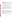#### **Use A New, Market-Based Approach To Clean Air:**

- $\checkmark$  Protect Americans from respiratory and cardiovascular diseases by dramatically reducing smog, fine particulate matter, regional haze; and protect wildlife habitat and ecosystem health from acid rain, nitrogen and mercury deposition. NOx and SO2 emissions both contribute to fine particulate matter emissions and NOx also contributes to ground-level ozone or smog.
- $\checkmark$  Save Americans as much as \$1 billion annually in compliance costs that are passed along to American consumers, while improving air quality and protecting the reliability and affordability of electricity for consumers.
- $\checkmark$  Cut pollution further, faster, cheaper and with more certainty eliminating the need for expensive and uncertain litigation as a means of achieving clean air.
- $\checkmark$  Build upon the 1990 Clean Air Act's acid rain program, America's most successful clean air law in the last decade, and encourage the use of new pollution control technologies.

President Bush has a strong track record on enacting far-reaching clean air initiatives. In 1999, then-Governor Bush signed legislation that permanently caps NOx and SO2 emissions from older power plants in Texas starting in 2003. The legislation was widely hailed as a model for the country. The Texas program is designed to reduce NOx emissions by 75,000 tons per year, and SO2 emissions by 35,000 tons per year, while giving utilities flexibility in determining how and where to achieve the reductions.

### *This approach enjoys strong, bipartisan support throughout the country:*

"Congress should pass legislation to establish a flexible, market-based program to significantly reduce and cap emissions of sulfur dioxide, nitrogen oxides, mercury and voluntary reductions of carbon dioxide from electric power generators. The legislation should provide regulatory certainty by establishing reduction targets for emissions, phasing in reductions over a reasonable period of time and providing market-based incentives such as emissions-trading credits to help achieve the required reductions."

Unanimous Resolution of the National Governors Association, August, 2001.

The Environmental Council of the States approved a resolution in February, 2001, supporting a cost-effective, efficient and environmentally protective multi-pollutant proposal.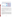# **BACKGROUND ¾ THE SUCCESS OF THE CLEAN AIR ACT**



**POLLUTION HAS DECLINED BY 29 PERCENT WHILE OUR ECONOMY HAS GROWN NEARLY 160 PERCENT**

In the U.S., power plants emit significant amounts of air pollution: 67 percent of all sulfur dioxide (SO2) emissions, 37 percent of mercury emissions, and 25 percent of all nitrogen oxide (NOx) emissions. These pollutants contribute to a variety of health and environmental problems, such as smog, acid rain, nitrogen deposition and visibility impairment.

Current law addresses each of these pollutants independently, on different timetables, through several different programs. These laws are uncoordinated and often inconsistent. Power plants might install equipment one year that is rendered obsolete the next. Implementation and enforcement usually requires years of litigation, leaving the fate of America's air to the uncertainties of the courtroom.

After 30 years of experience in regulating air pollution, America has proved that there is a better way to accomplish our clean air goals.

The 1990 Clean Air Act Amendments, proposed and signed into law by President George H.W. Bush, have significantly reduced air pollution, especially through the innovative "cap-and trade" acid rain control program. The acid rain program has been a resounding success, cutting annual sulfur dioxide emissions in the first phase by 50 percent below allowed levels. Emissions were reduced faster than required, and at far less cost. Industry compliance has been nearly 100 percent, and the program only requires a handful of EPA employees to operate. This approach is vastly more effective, and cheaper – two-thirds cheaper – than the traditional "command-andcontrol" approach.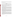This program is clearly a model for success. President Bush wants to expand this program to include two new pollutants – nitrogen oxides and mercury – while also dramatically reducing the SO2 emissions allowed by current law.

# **THE CLEAR SKIES INITIATIVE ¾ BUILDING ON THE CLEAN AIR ACT**

The President's Clear Skies Initiative is designed to help us meet our national air quality goals. A new Clean Air Act for the 21<sup>st</sup> century must build on this founding principle – modernization and better technology will mean a progressive new way to accomplish these long-standing environmental goals. The Clear Skies Initiative will continue to bring Americans:

- ÿ **Improved Air Quality:** Reducing air pollution will bring clean air to tens of millions of people, saving them from smog (ground-level ozone) and fine particulate matter (dust) that cause respiratory and cardiovascular distress.
- ÿ **Improved Health:** Reducing emissions of fine particulate matter will prolong thousands of lives and prevent thousands of new cases of chronic bronchitis, hospitalizations and emergency room visits. Reducing the formation of ground-level ozone, or smog, will bring healthier air to tens of millions of people, and reduce the number of ozone-related health problems such as respiratory infection, asthma attacks, and chronic lung damage. Reducing mercury emissions will reduce the risk of toxic effects from mercury exposure to children exposed during their mother's pregnancy.
- ÿ **Better Environmental Protection from Acid Rain, Smog, Haze, Mercury and Nitrogen Deposition:** Reducing SO2 and NO<sub>x</sub> emissions will save hundreds of northeastern lakes and hundreds of thousands of acres of forests from acid rain, particularly in the Adirondacks and other parts of the Appalachian Mountains. It will also improve visibility over much of the country, particularly the scenic vistas in national parks such the Grand Canyon. Reducing emissions of nitrogen oxides will also reduce nitrogen deposition in water, improving coastal ecosystem health along the East and Gulf coasts. Reducing mercury emissions will reduce mercury deposition in lakes and streams.
- ÿ **Secure, Affordable Power:** The Clear Skies Initiative will keep electricity costs low for consumers by saving as much as \$1 billion each year in compliance costs. Power generators will have the flexibility to reduce emissions in the most cost-effective way. It will also encourage the continual improvement in technology to reduce emissions from coal-fired power plants in concert with the Department of Energy's Clean Coal Technology program and incentives for power plants that install "scrubbers" early in the program. Under the Clear Skies Initiative, America will continue to have a diverse fuel mix that ensures a reliable, affordable energy supply.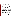## **HOW THE CLEAR SKIES INITIATIVE WORKS**

To improve air quality for millions of Americans, the Clear Skies Initiative will adopt the lessons learned from 30 years of environmental regulation by:

- 1. **Establishing Emission Reduction Targets, Based on Sound Science, That Will Significantly Improve Air Quality, Protecting Human and Environmental Health:** By reducing air pollution, and conducting constant monitoring of emissions, the Clear Skies Initiative guarantees that America's power plants will meet ambitious air quality goals, even as they bring new power plants on line to meet growing demand. During the first phase, the EPA Administrator will review new scientific, technology and cost information and, if necessary, adjust the phase two targets. This will include a vigorous research program to further understand the fate and transport of pollutants in the atmosphere.
- 2. **Adopting a Comprehensive, Integrated, Multi-Pollutant Approach:** By reducing emissions of the three key sources of air pollution at the same time, the Clear Skies Initiative will produce environmental results more effectively and efficiently than the current labyrinth of overlapping and uncoordinated single-pollutant requirements. The current approach is inefficient and ineffective, imposing unnecessarily high costs due to: (1) stranded capital investments from the installation of controls that later become obsolete when additional requirements are promulgated; (2) reduced lead time for complying with those requirements; (3) limited or non-existent flexibility for emissions trading to allow cost-efficient control options; and (4) a reliance upon lengthy, expensive, and uncertain litigation to sort out regulatory ambiguity and compliance with the law.
- 3. **Improving Environmental Performance at Lower Cost Using Market-Based Mechanisms That Create Incentives for Innovation:** Using the market-based mechanism of a cap-and-trade program, the Clear Skies Initiative will establish national, federally enforceable emissions limits for each pollutant. Allowances are distributed to electricity generators, and the cap declines at specific intervals, 2010, and then again in 2018. Generators respond by gradually reducing their emissions – reducing more than the cap requires early in the program in order to save allowances for use later in the program when the caps decline. That is, generators respond to declining allowance caps just like people respond to declining income when they're planning for retirement: they do more now, investing and saving for the future. Individual generators can choose when to reduce their emissions in response to their particular circumstances and the price of allowances they see in the market. This encourages the least expensive reductions over time as well as across facilities.

At this point, the government only has to enforce the emission limits, distribute allowances and verify that each facility has sufficient allowances for their annual emissions. There's no need for lengthy, costly, uncertain litigation to enforce the law. Creative, innovative strategies to reduce emissions are immediately rewarded: facilities save money by finding innovative ways to reduce emissions more than a command-and-control law would require. This creates an incentive for continual improvement in environmental performance.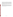The flexibility in the process of allocating emission credits or allowances will also accommodate the different air quality needs in the East and the West while preserving fair competition. Western states have already made significant headway in identifying future SO2 reductions necessary to meet air quality goals in the Western Regional Air Partnership ("WRAP") agreement between EPA, Western states, tribes, industry and environmental groups. SO2 allocations will track this agreement. NOx reduction caps for the East and West will also be set to accommodate these different needs, and separate East and West trading regions will be created.

4. **Ensuring a secure, affordable energy supply:** By setting firm caps while offering flexibility in how utilities can meet those caps, the Clear Skies Initiative preserves a diverse fuel mix that supports economic growth with reasonably priced energy. The firm caps and the adequate lead time create a predictable climate for long-term planning and capital investment in power generation, which will ensure an adequate energy supply. This will also create substantial cost savings to consumers.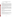# **THE CAP AND TRADE SYSTEM IN THE CLEAR SKIES INITIATIVE**

#### **HOW DOES IT WORK?**

The Clear Skies Initiative will deliver substantial health and environmental benefits through a market-based approach that rewards innovation, reduces costs, and ensures results. Instead of the government telling electricity generators precisely where and how to reduce their emissions – the old command-and-control approach – this market-based program tells them when and how much to reduce pollution by establishing a firm, maximum "cap" on emissions. The trading program creates incentives for electricity generators to reduce their emissions even more than the law requires, and more quickly than required. Electricity generators must hold an "allowance" for each ton of pollution they emit – one ton, one allowance. The government controls the number of allowances that are distributed and reduces them over time. Electricity generators must continually monitor and report their emissions.

Most importantly, these allowances can be traded freely. That means that if you're smart and creative, and you figure out a better way to reduce emissions, you get rewarded by making those reductions and selling unneeded allowances in the market. And, if you unexpectedly can't reduce emissions as much as planned, you have the flexibility to go out and buy more allowances in the market – all without any government interference, and without undermining air quality. This flexibility lets businesses figure out the cheapest way to reduce emissions while government sticks to setting the overall emission cap at a level that guarantees that industry meets ambitious air quality goals.

#### **WHY DOES IT WORK?**

The cap ensures that the reductions in SO2, NOx and mercury required by the Clear Skies Initiative are achieved and maintained over time even as new power plants are built. The open trading program gives power plants the flexibility to choose how they meet their target emission reductions, which minimizes compliance costs and lowers consumer electricity prices.

### **WHAT ARE THE RESULTS?**

Cost savings – The acid rain cap and trade program passed by Congress in 1990 achieved reductions at two-thirds the cost of achieving the same reductions under a command-and-control system. This program reduced more pollution in the last decade than all other Clean Air Act command-and-control programs combined during the same period.

Innovation – Trading under the acid rain program created financial incentives for electricity generators to look for new and low-cost ways to reduce emissions and to do so early.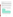Integrity –The acid rain cap and trade program has high accountability and transparency. Electricity generators must install monitors to prove that they have sufficient allowances to match their actual emissions.

Regional Effect – The acid rain program resulted in emission reductions well below the cap in the areas that contribute most of the sulfur in acid rain. Comparing emissions from the 263 power plants regulated in the first phase of the program in 1999 with those in 1990, the North Central, Southeast and Mid-Atlantic regions achieved 49 percent, 48 percent and 43 percent reductions in SO2 respectively. Several analyses of trading under the acid rain program have concluded that the program did not result in local areas with higher emission levels ("hot spots").

Guaranteed Results – The Acid Rain program enjoys nearly 100 percent compliance and only takes 75 EPA employees to run – a track record no command-and-control program can meet. Reductions in the early years averaged 25 percent below the required cap. Emission cuts resulted in air quality improvements over a broad area of the U.S. and significant reductions in acid rain.

### **Emissions From Power Plants in the First Phase of the Acid Rain Program**